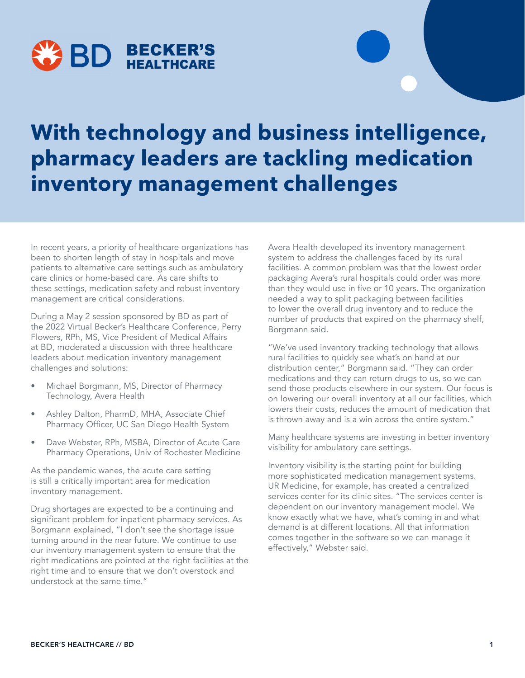

## **With technology and business intelligence, pharmacy leaders are tackling medication inventory management challenges**

In recent years, a priority of healthcare organizations has been to shorten length of stay in hospitals and move patients to alternative care settings such as ambulatory care clinics or home-based care. As care shifts to these settings, medication safety and robust inventory management are critical considerations.

During a May 2 session sponsored by BD as part of the 2022 Virtual Becker's Healthcare Conference, Perry Flowers, RPh, MS, Vice President of Medical Affairs at BD, moderated a discussion with three healthcare leaders about medication inventory management challenges and solutions:

- Michael Borgmann, MS, Director of Pharmacy Technology, Avera Health
- Ashley Dalton, PharmD, MHA, Associate Chief Pharmacy Officer, UC San Diego Health System
- Dave Webster, RPh, MSBA, Director of Acute Care Pharmacy Operations, Univ of Rochester Medicine

As the pandemic wanes, the acute care setting is still a critically important area for medication inventory management.

Drug shortages are expected to be a continuing and significant problem for inpatient pharmacy services. As Borgmann explained, "I don't see the shortage issue turning around in the near future. We continue to use our inventory management system to ensure that the right medications are pointed at the right facilities at the right time and to ensure that we don't overstock and understock at the same time."

Avera Health developed its inventory management system to address the challenges faced by its rural facilities. A common problem was that the lowest order packaging Avera's rural hospitals could order was more than they would use in five or 10 years. The organization needed a way to split packaging between facilities to lower the overall drug inventory and to reduce the number of products that expired on the pharmacy shelf, Borgmann said.

"We've used inventory tracking technology that allows rural facilities to quickly see what's on hand at our distribution center," Borgmann said. "They can order medications and they can return drugs to us, so we can send those products elsewhere in our system. Our focus is on lowering our overall inventory at all our facilities, which lowers their costs, reduces the amount of medication that is thrown away and is a win across the entire system."

Many healthcare systems are investing in better inventory visibility for ambulatory care settings.

Inventory visibility is the starting point for building more sophisticated medication management systems. UR Medicine, for example, has created a centralized services center for its clinic sites. "The services center is dependent on our inventory management model. We know exactly what we have, what's coming in and what demand is at different locations. All that information comes together in the software so we can manage it effectively," Webster said.